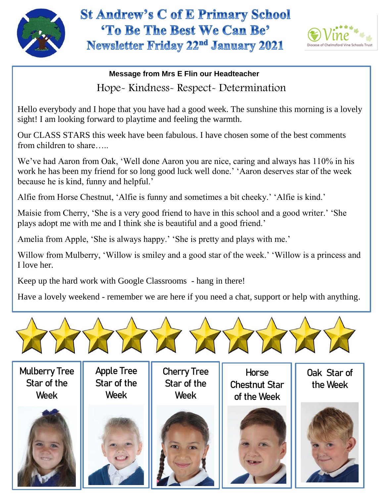

## **St Andrew's C of E Primary School** 'To Be The Best We Can Be' Newsletter Friday 22<sup>nd</sup> January 2021



**Message from Mrs E Flin our Headteacher** Hope- Kindness- Respect- Determination

Hello everybody and I hope that you have had a good week. The sunshine this morning is a lovely sight! I am looking forward to playtime and feeling the warmth.

Our CLASS STARS this week have been fabulous. I have chosen some of the best comments from children to share…..

We've had Aaron from Oak, 'Well done Aaron you are nice, caring and always has 110% in his work he has been my friend for so long good luck well done.' 'Aaron deserves star of the week because he is kind, funny and helpful.'

Alfie from Horse Chestnut, 'Alfie is funny and sometimes a bit cheeky.' 'Alfie is kind.'

Maisie from Cherry, 'She is a very good friend to have in this school and a good writer.' 'She plays adopt me with me and I think she is beautiful and a good friend.'

Amelia from Apple, 'She is always happy.' 'She is pretty and plays with me.'

Willow from Mulberry, 'Willow is smiley and a good star of the week.' 'Willow is a princess and I love her.

Keep up the hard work with Google Classrooms - hang in there!

Have a lovely weekend - remember we are here if you need a chat, support or help with anything.



Mulberry Tree Star of the Week



Apple Tree Star of the Week

Cherry Tree Star of the Week



**Horse** Chestnut Star of the Week



Oak Star of the Week